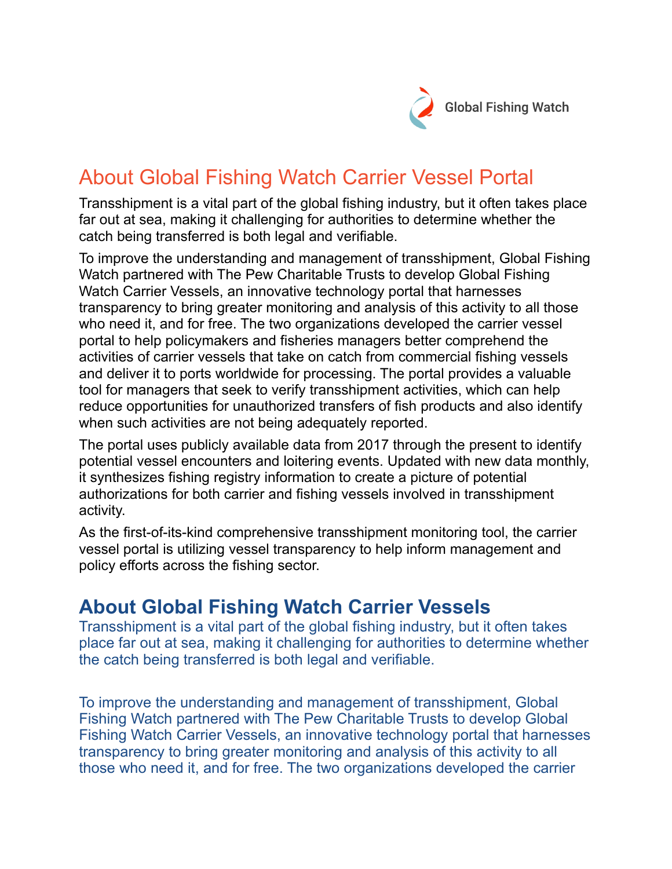

## About Global Fishing Watch Carrier Vessel Portal

Transshipment is a vital part of the global fishing industry, but it often takes place far out at sea, making it challenging for authorities to determine whether the catch being transferred is both legal and verifiable.

To improve the understanding and management of transshipment, Global Fishing Watch partnered with The Pew Charitable Trusts to develop Global Fishing Watch Carrier Vessels, an innovative technology portal that harnesses transparency to bring greater monitoring and analysis of this activity to all those who need it, and for free. The two organizations developed the carrier vessel portal to help policymakers and fisheries managers better comprehend the activities of carrier vessels that take on catch from commercial fishing vessels and deliver it to ports worldwide for processing. The portal provides a valuable tool for managers that seek to verify transshipment activities, which can help reduce opportunities for unauthorized transfers of fish products and also identify when such activities are not being adequately reported.

The portal uses publicly available data from 2017 through the present to identify potential vessel encounters and loitering events. Updated with new data monthly, it synthesizes fishing registry information to create a picture of potential authorizations for both carrier and fishing vessels involved in transshipment activity.

As the first-of-its-kind comprehensive transshipment monitoring tool, the carrier vessel portal is utilizing vessel transparency to help inform management and policy efforts across the fishing sector.

## **About Global Fishing Watch Carrier Vessels**

Transshipment is a vital part of the global fishing industry, but it often takes place far out at sea, making it challenging for authorities to determine whether the catch being transferred is both legal and verifiable.

To improve the understanding and management of transshipment, Global Fishing Watch partnered with The Pew Charitable Trusts to develop Global Fishing Watch Carrier Vessels, an innovative technology portal that harnesses transparency to bring greater monitoring and analysis of this activity to all those who need it, and for free. The two organizations developed the carrier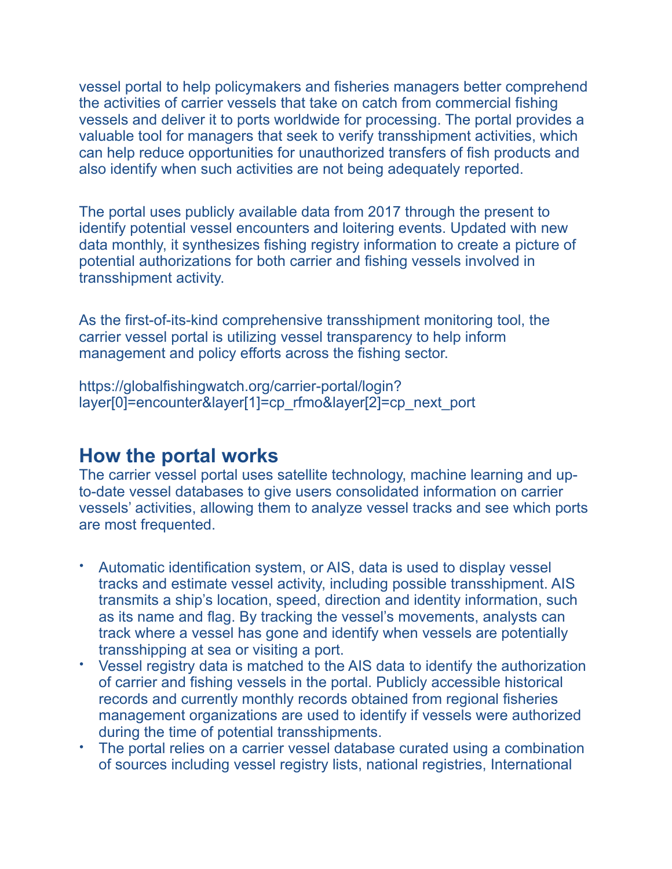vessel portal to help policymakers and fisheries managers better comprehend the activities of carrier vessels that take on catch from commercial fishing vessels and deliver it to ports worldwide for processing. The portal provides a valuable tool for managers that seek to verify transshipment activities, which can help reduce opportunities for unauthorized transfers of fish products and also identify when such activities are not being adequately reported.

The portal uses publicly available data from 2017 through the present to identify potential vessel encounters and loitering events. Updated with new data monthly, it synthesizes fishing registry information to create a picture of potential authorizations for both carrier and fishing vessels involved in transshipment activity.

As the first-of-its-kind comprehensive transshipment monitoring tool, the carrier vessel portal is utilizing vessel transparency to help inform management and policy efforts across the fishing sector.

https://globalfishingwatch.org/carrier-portal/login? layer[0]=encounter&layer[1]=cp\_rfmo&layer[2]=cp\_next\_port

## **How the portal works**

The carrier vessel portal uses satellite technology, machine learning and upto-date vessel databases to give users consolidated information on carrier vessels' activities, allowing them to analyze vessel tracks and see which ports are most frequented.

- Automatic identification system, or AIS, data is used to display vessel tracks and estimate vessel activity, including possible transshipment. AIS transmits a ship's location, speed, direction and identity information, such as its name and flag. By tracking the vessel's movements, analysts can track where a vessel has gone and identify when vessels are potentially transshipping at sea or visiting a port.
- Vessel registry data is matched to the AIS data to identify the authorization of carrier and fishing vessels in the portal. Publicly accessible historical records and currently monthly records obtained from regional fisheries management organizations are used to identify if vessels were authorized during the time of potential transshipments.
- The portal relies on a carrier vessel database curated using a combination of sources including vessel registry lists, national registries, International